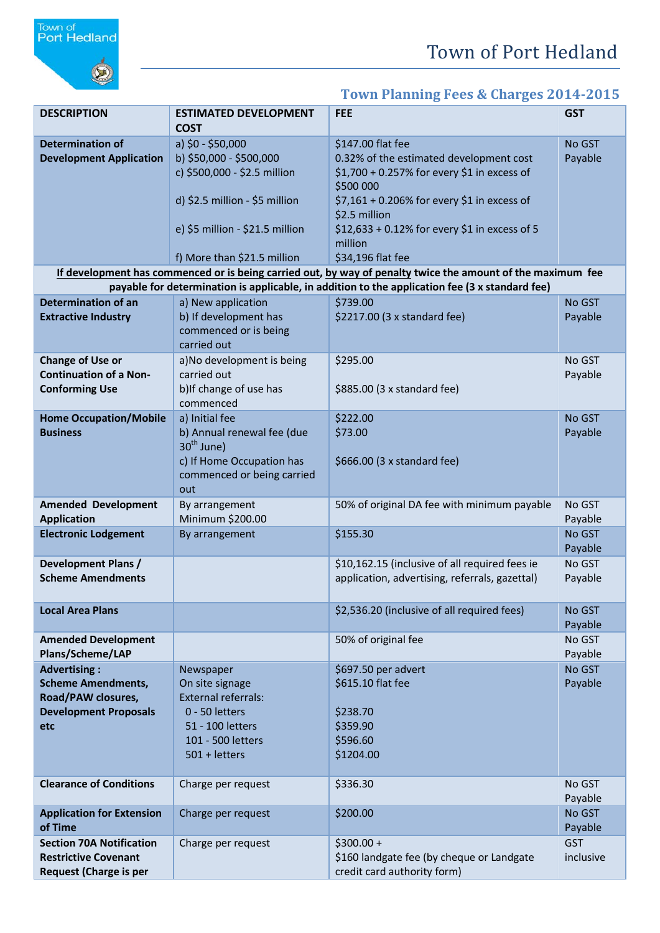

## **Town Planning Fees & Charges 2014-2015**

| <b>DESCRIPTION</b>                                                                                            | <b>ESTIMATED DEVELOPMENT</b><br><b>COST</b>                                                                                                                                      | <b>FEE</b>                                                                                                                                                                                                                                                                | <b>GST</b>              |
|---------------------------------------------------------------------------------------------------------------|----------------------------------------------------------------------------------------------------------------------------------------------------------------------------------|---------------------------------------------------------------------------------------------------------------------------------------------------------------------------------------------------------------------------------------------------------------------------|-------------------------|
| <b>Determination of</b><br><b>Development Application</b>                                                     | a) $$0 - $50,000$<br>b) \$50,000 - \$500,000<br>c) \$500,000 - \$2.5 million<br>d) \$2.5 million - \$5 million<br>e) \$5 million - \$21.5 million<br>f) More than \$21.5 million | \$147.00 flat fee<br>0.32% of the estimated development cost<br>\$1,700 + 0.257% for every \$1 in excess of<br>\$500 000<br>\$7,161 + 0.206% for every \$1 in excess of<br>\$2.5 million<br>\$12,633 + 0.12% for every \$1 in excess of 5<br>million<br>\$34,196 flat fee | No GST<br>Payable       |
|                                                                                                               |                                                                                                                                                                                  | If development has commenced or is being carried out, by way of penalty twice the amount of the maximum fee<br>payable for determination is applicable, in addition to the application fee (3 x standard fee)                                                             |                         |
| <b>Determination of an</b><br><b>Extractive Industry</b>                                                      | a) New application<br>b) If development has<br>commenced or is being<br>carried out                                                                                              | \$739.00<br>\$2217.00 (3 x standard fee)                                                                                                                                                                                                                                  | No GST<br>Payable       |
| <b>Change of Use or</b><br><b>Continuation of a Non-</b><br><b>Conforming Use</b>                             | a)No development is being<br>carried out<br>b) If change of use has<br>commenced                                                                                                 | \$295.00<br>\$885.00 (3 x standard fee)                                                                                                                                                                                                                                   | No GST<br>Payable       |
| <b>Home Occupation/Mobile</b><br><b>Business</b>                                                              | a) Initial fee<br>b) Annual renewal fee (due<br>$30th$ June)<br>c) If Home Occupation has<br>commenced or being carried<br>out                                                   | \$222.00<br>\$73.00<br>\$666.00 (3 x standard fee)                                                                                                                                                                                                                        | No GST<br>Payable       |
| <b>Amended Development</b><br><b>Application</b>                                                              | By arrangement<br>Minimum \$200.00                                                                                                                                               | 50% of original DA fee with minimum payable                                                                                                                                                                                                                               | No GST<br>Payable       |
| <b>Electronic Lodgement</b>                                                                                   | By arrangement                                                                                                                                                                   | \$155.30                                                                                                                                                                                                                                                                  | No GST<br>Payable       |
| <b>Development Plans /</b><br><b>Scheme Amendments</b>                                                        |                                                                                                                                                                                  | \$10,162.15 (inclusive of all required fees ie<br>application, advertising, referrals, gazettal)                                                                                                                                                                          | No GST<br>Payable       |
| <b>Local Area Plans</b>                                                                                       |                                                                                                                                                                                  | \$2,536.20 (inclusive of all required fees)                                                                                                                                                                                                                               | No GST<br>Payable       |
| <b>Amended Development</b><br>Plans/Scheme/LAP                                                                |                                                                                                                                                                                  | 50% of original fee                                                                                                                                                                                                                                                       | No GST<br>Payable       |
| <b>Advertising:</b><br><b>Scheme Amendments,</b><br>Road/PAW closures,<br><b>Development Proposals</b><br>etc | Newspaper<br>On site signage<br><b>External referrals:</b><br>0 - 50 letters<br>51 - 100 letters<br>101 - 500 letters<br>$501 + letters$                                         | \$697.50 per advert<br>\$615.10 flat fee<br>\$238.70<br>\$359.90<br>\$596.60<br>\$1204.00                                                                                                                                                                                 | No GST<br>Payable       |
| <b>Clearance of Conditions</b>                                                                                | Charge per request                                                                                                                                                               | \$336.30                                                                                                                                                                                                                                                                  | No GST<br>Payable       |
| <b>Application for Extension</b><br>of Time                                                                   | Charge per request                                                                                                                                                               | \$200.00                                                                                                                                                                                                                                                                  | No GST<br>Payable       |
| <b>Section 70A Notification</b><br><b>Restrictive Covenant</b><br><b>Request (Charge is per</b>               | Charge per request                                                                                                                                                               | $$300.00 +$<br>\$160 landgate fee (by cheque or Landgate<br>credit card authority form)                                                                                                                                                                                   | <b>GST</b><br>inclusive |